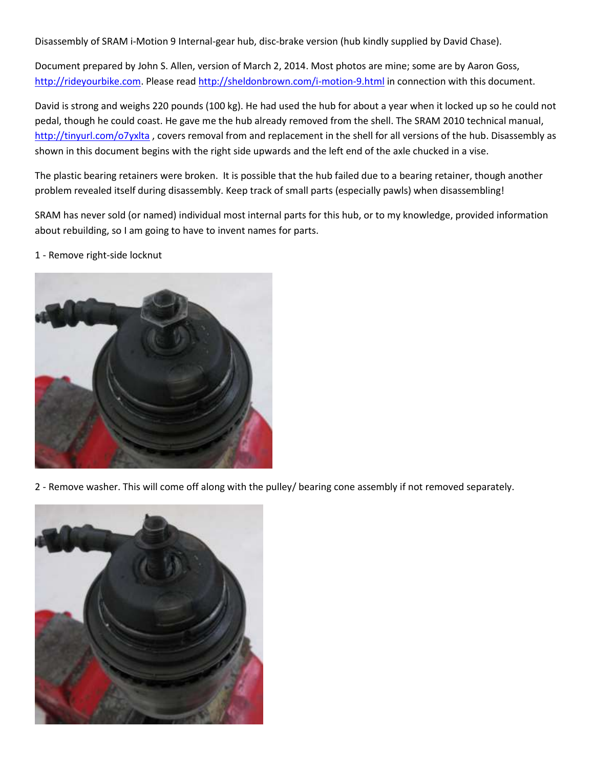Disassembly of SRAM i-Motion 9 Internal-gear hub, disc-brake version (hub kindly supplied by David Chase).

Document prepared by John S. Allen, version of March 2, 2014. Most photos are mine; some are by Aaron Goss, [http://rideyourbike.com.](http://rideyourbike.com/) Please read <http://sheldonbrown.com/i-motion-9.html> in connection with this document.

David is strong and weighs 220 pounds (100 kg). He had used the hub for about a year when it locked up so he could not pedal, though he could coast. He gave me the hub already removed from the shell. The SRAM 2010 technical manual, <http://tinyurl.com/o7yxlta> , covers removal from and replacement in the shell for all versions of the hub. Disassembly as shown in this document begins with the right side upwards and the left end of the axle chucked in a vise.

The plastic bearing retainers were broken. It is possible that the hub failed due to a bearing retainer, though another problem revealed itself during disassembly. Keep track of small parts (especially pawls) when disassembling!

SRAM has never sold (or named) individual most internal parts for this hub, or to my knowledge, provided information about rebuilding, so I am going to have to invent names for parts.

1 - Remove right-side locknut



2 - Remove washer. This will come off along with the pulley/ bearing cone assembly if not removed separately.

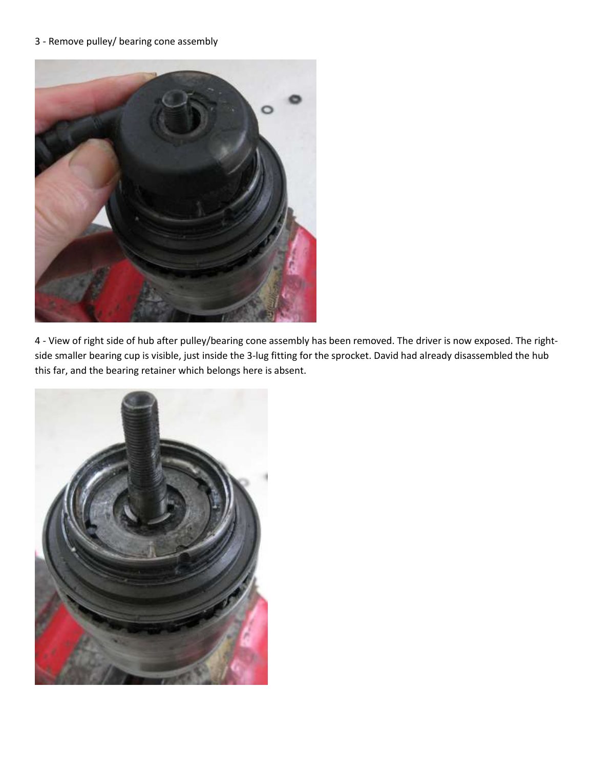## 3 - Remove pulley/ bearing cone assembly



4 - View of right side of hub after pulley/bearing cone assembly has been removed. The driver is now exposed. The rightside smaller bearing cup is visible, just inside the 3-lug fitting for the sprocket. David had already disassembled the hub this far, and the bearing retainer which belongs here is absent.

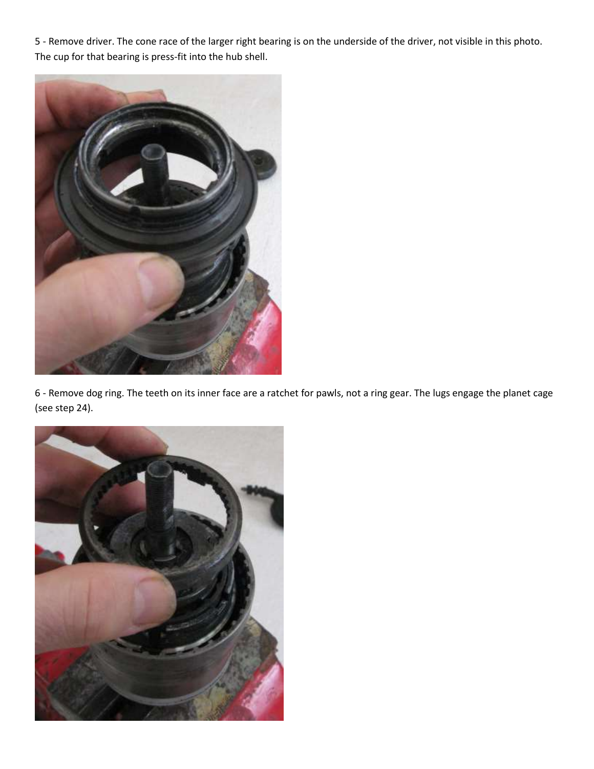5 - Remove driver. The cone race of the larger right bearing is on the underside of the driver, not visible in this photo. The cup for that bearing is press-fit into the hub shell.



6 - Remove dog ring. The teeth on its inner face are a ratchet for pawls, not a ring gear. The lugs engage the planet cage (see step 24).

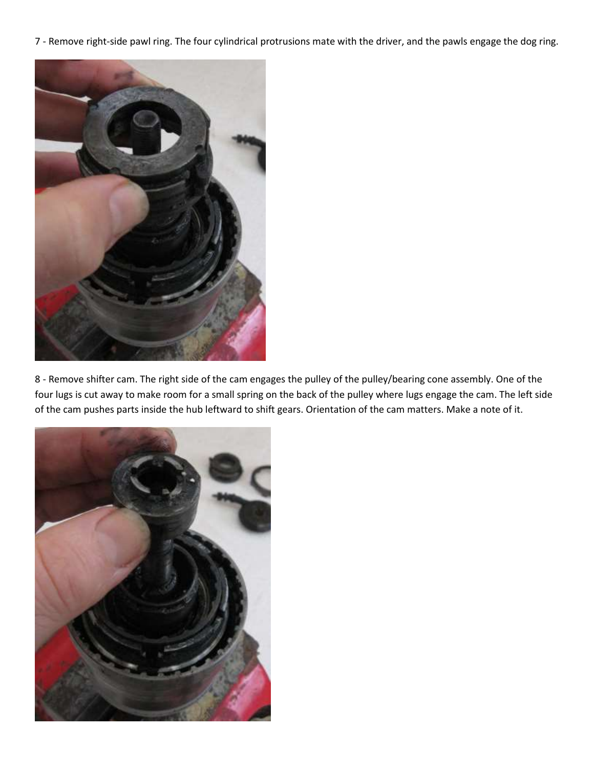7 - Remove right-side pawl ring. The four cylindrical protrusions mate with the driver, and the pawls engage the dog ring.



8 - Remove shifter cam. The right side of the cam engages the pulley of the pulley/bearing cone assembly. One of the four lugs is cut away to make room for a small spring on the back of the pulley where lugs engage the cam. The left side of the cam pushes parts inside the hub leftward to shift gears. Orientation of the cam matters. Make a note of it.

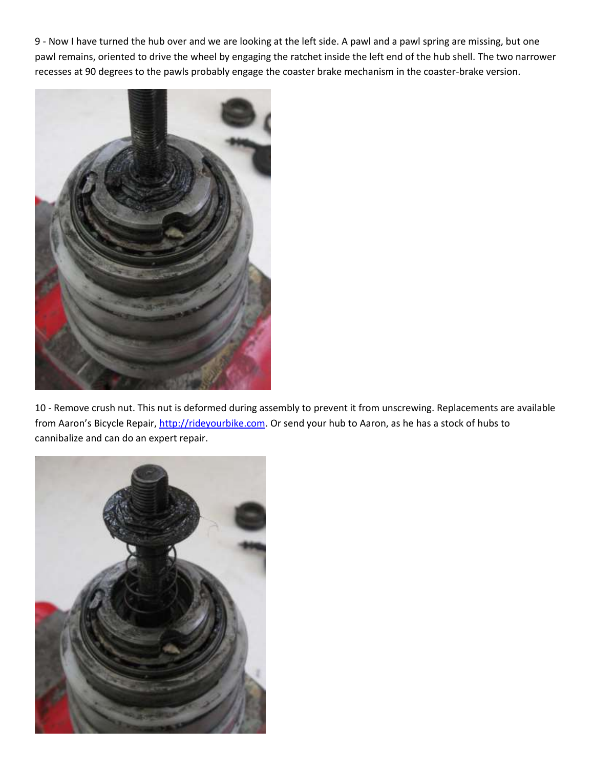9 - Now I have turned the hub over and we are looking at the left side. A pawl and a pawl spring are missing, but one pawl remains, oriented to drive the wheel by engaging the ratchet inside the left end of the hub shell. The two narrower recesses at 90 degrees to the pawls probably engage the coaster brake mechanism in the coaster-brake version.



10 - Remove crush nut. This nut is deformed during assembly to prevent it from unscrewing. Replacements are available from Aaron's Bicycle Repair, [http://rideyourbike.com.](http://rideyourbike.com/) Or send your hub to Aaron, as he has a stock of hubs to cannibalize and can do an expert repair.

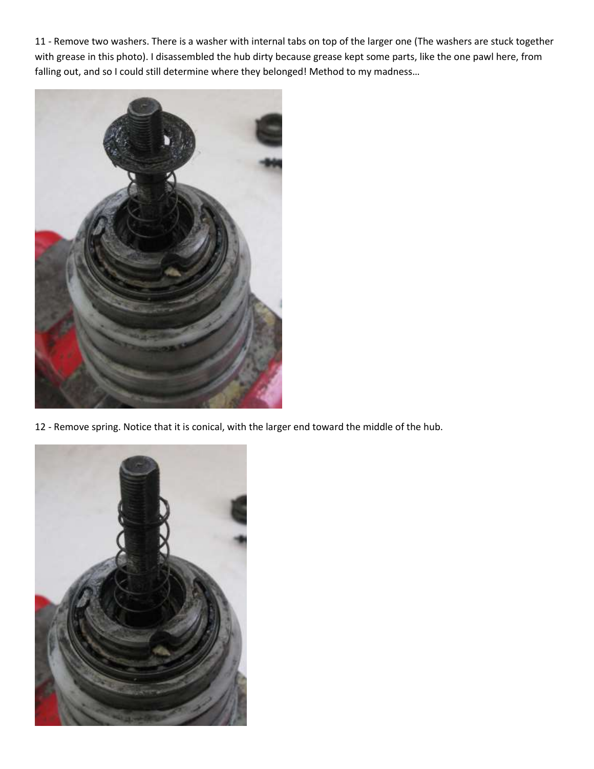11 - Remove two washers. There is a washer with internal tabs on top of the larger one (The washers are stuck together with grease in this photo). I disassembled the hub dirty because grease kept some parts, like the one pawl here, from falling out, and so I could still determine where they belonged! Method to my madness...



12 - Remove spring. Notice that it is conical, with the larger end toward the middle of the hub.

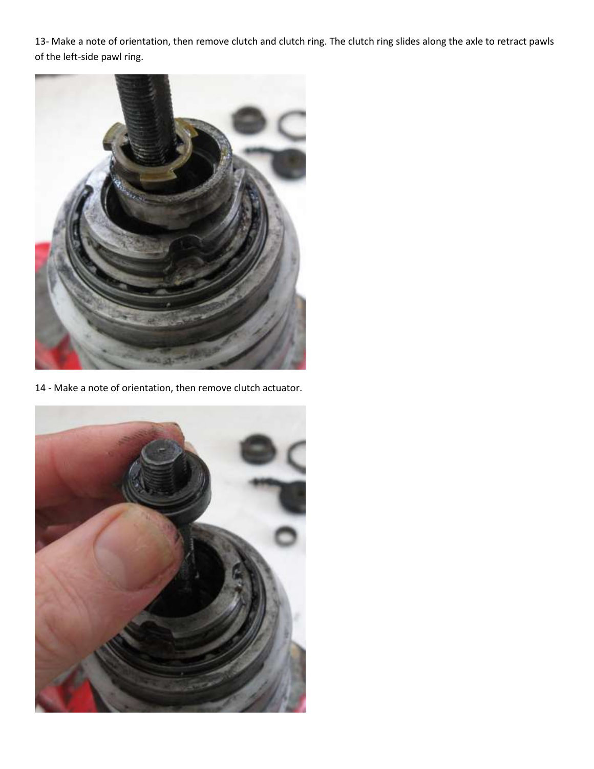13- Make a note of orientation, then remove clutch and clutch ring. The clutch ring slides along the axle to retract pawls of the left-side pawl ring.



14 - Make a note of orientation, then remove clutch actuator.

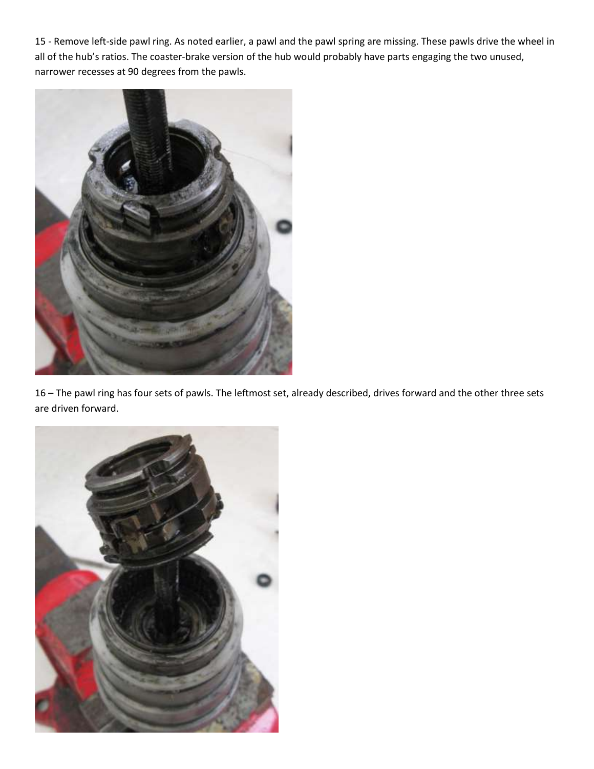15 - Remove left-side pawl ring. As noted earlier, a pawl and the pawl spring are missing. These pawls drive the wheel in all of the hub's ratios. The coaster-brake version of the hub would probably have parts engaging the two unused, narrower recesses at 90 degrees from the pawls.



16 – The pawl ring has four sets of pawls. The leftmost set, already described, drives forward and the other three sets are driven forward.

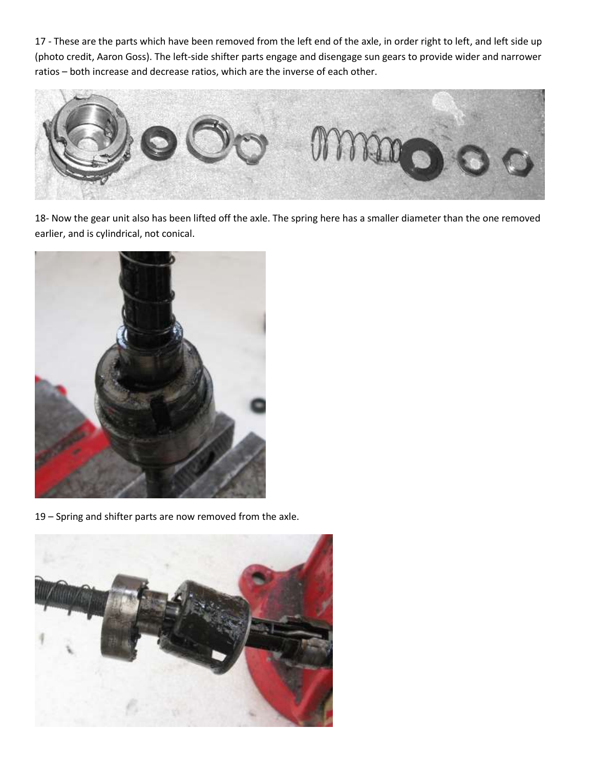17 - These are the parts which have been removed from the left end of the axle, in order right to left, and left side up (photo credit, Aaron Goss). The left-side shifter parts engage and disengage sun gears to provide wider and narrower ratios – both increase and decrease ratios, which are the inverse of each other.



18- Now the gear unit also has been lifted off the axle. The spring here has a smaller diameter than the one removed earlier, and is cylindrical, not conical.



19 – Spring and shifter parts are now removed from the axle.

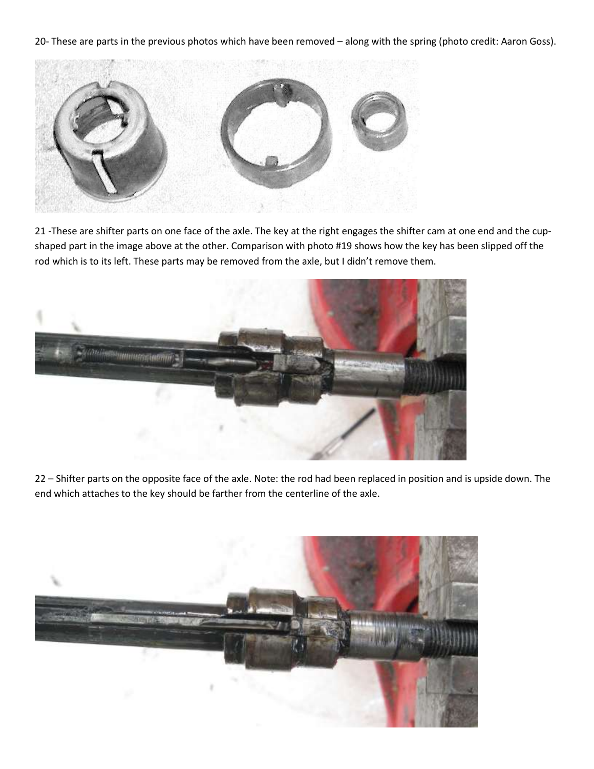20- These are parts in the previous photos which have been removed – along with the spring (photo credit: Aaron Goss).



21 -These are shifter parts on one face of the axle. The key at the right engages the shifter cam at one end and the cupshaped part in the image above at the other. Comparison with photo #19 shows how the key has been slipped off the rod which is to its left. These parts may be removed from the axle, but I didn't remove them.



22 – Shifter parts on the opposite face of the axle. Note: the rod had been replaced in position and is upside down. The end which attaches to the key should be farther from the centerline of the axle.

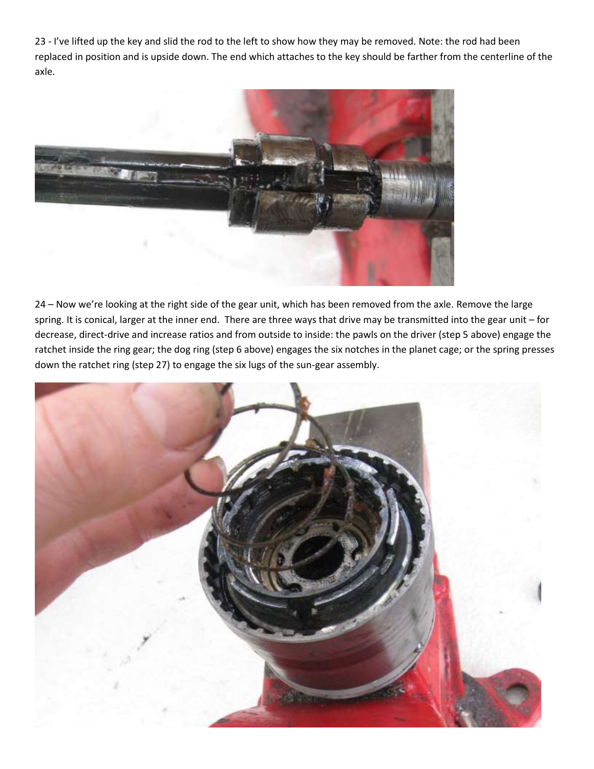23 - I've lifted up the key and slid the rod to the left to show how they may be removed. Note: the rod had been replaced in position and is upside down. The end which attaches to the key should be farther from the centerline of the axle.



24 – Now we're looking at the right side of the gear unit, which has been removed from the axle. Remove the large spring. It is conical, larger at the inner end. There are three ways that drive may be transmitted into the gear unit – for decrease, direct-drive and increase ratios and from outside to inside: the pawls on the driver (step 5 above) engage the ratchet inside the ring gear; the dog ring (step 6 above) engages the six notches in the planet cage; or the spring presses down the ratchet ring (step 27) to engage the six lugs of the sun-gear assembly.

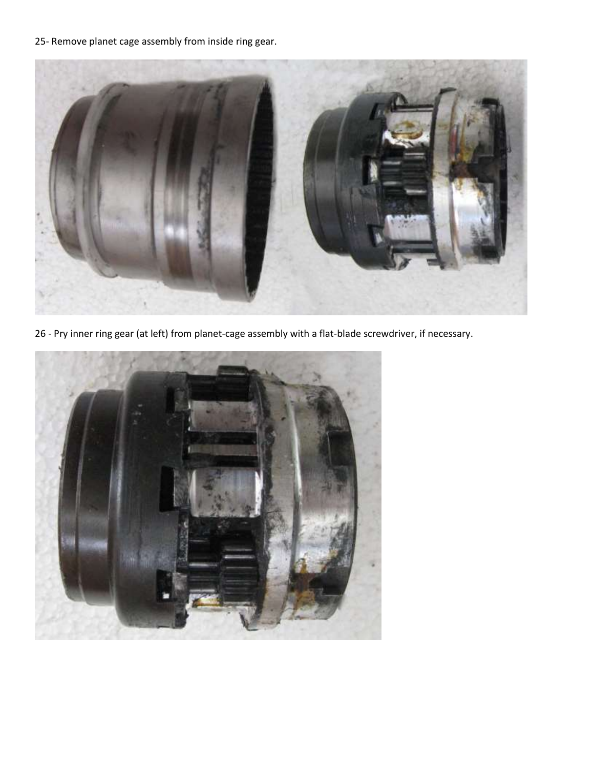25- Remove planet cage assembly from inside ring gear.



26 - Pry inner ring gear (at left) from planet-cage assembly with a flat-blade screwdriver, if necessary.

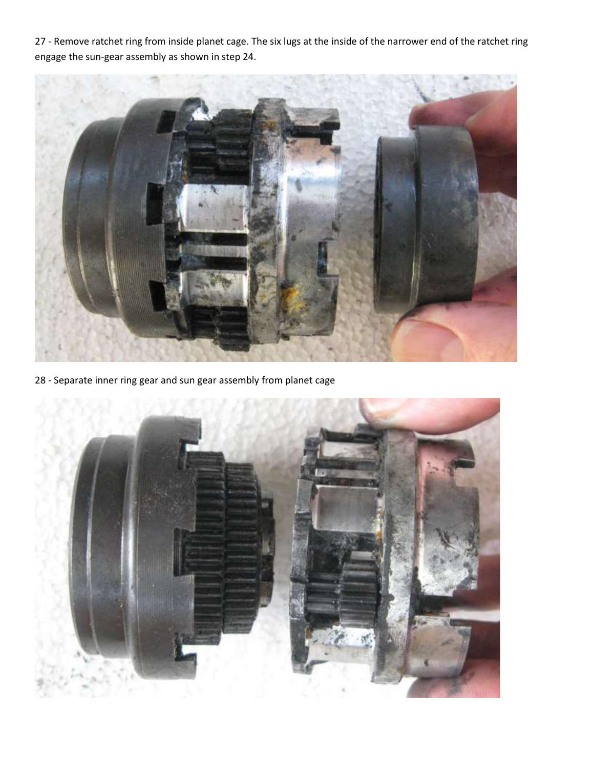- Remove ratchet ring from inside planet cage. The six lugs at the inside of the narrower end of the ratchet ring engage the sun-gear assembly as shown in step 24.



- Separate inner ring gear and sun gear assembly from planet cage

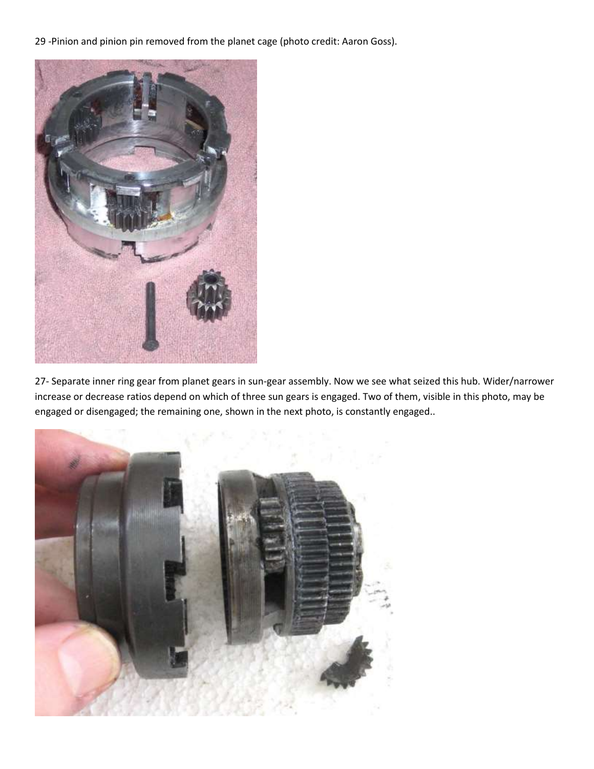29 -Pinion and pinion pin removed from the planet cage (photo credit: Aaron Goss).



27- Separate inner ring gear from planet gears in sun-gear assembly. Now we see what seized this hub. Wider/narrower increase or decrease ratios depend on which of three sun gears is engaged. Two of them, visible in this photo, may be engaged or disengaged; the remaining one, shown in the next photo, is constantly engaged..

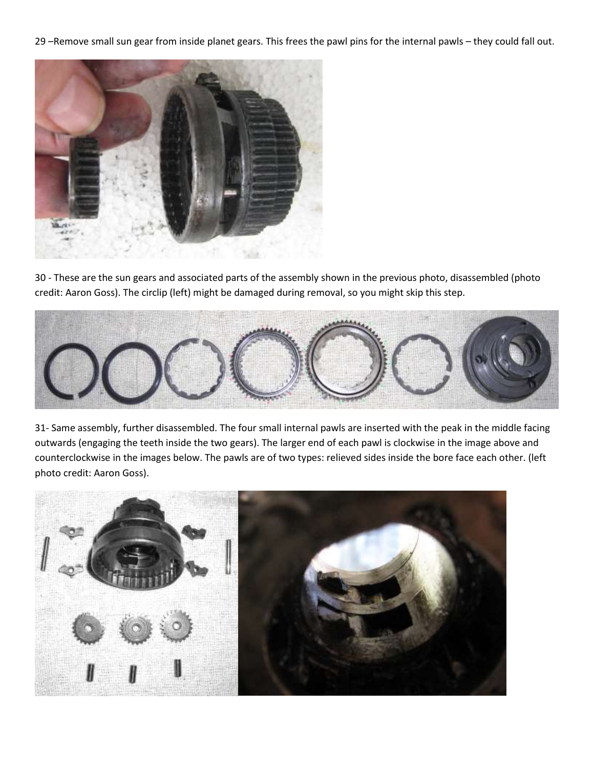29 –Remove small sun gear from inside planet gears. This frees the pawl pins for the internal pawls – they could fall out.



30 - These are the sun gears and associated parts of the assembly shown in the previous photo, disassembled (photo credit: Aaron Goss). The circlip (left) might be damaged during removal, so you might skip this step.



31- Same assembly, further disassembled. The four small internal pawls are inserted with the peak in the middle facing outwards (engaging the teeth inside the two gears). The larger end of each pawl is clockwise in the image above and counterclockwise in the images below. The pawls are of two types: relieved sides inside the bore face each other. (left photo credit: Aaron Goss).